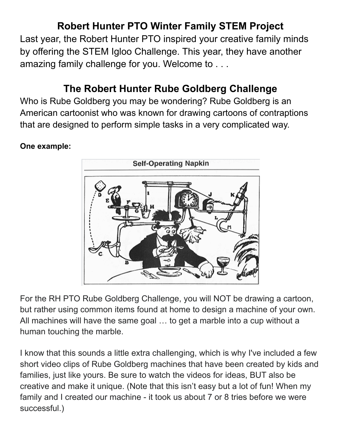# **Robert Hunter PTO Winter Family STEM Project**

Last year, the Robert Hunter PTO inspired your creative family minds by offering the STEM Igloo Challenge. This year, they have another amazing family challenge for you. Welcome to . . .

## **The Robert Hunter Rube Goldberg Challenge**

Who is Rube Goldberg you may be wondering? Rube Goldberg is an American cartoonist who was known for drawing cartoons of contraptions that are designed to perform simple tasks in a very complicated way.

#### **One example:**



For the RH PTO Rube Goldberg Challenge, you will NOT be drawing a cartoon, but rather using common items found at home to design a machine of your own. All machines will have the same goal … to get a marble into a cup without a human touching the marble.

I know that this sounds a little extra challenging, which is why I've included a few short video clips of Rube Goldberg machines that have been created by kids and families, just like yours. Be sure to watch the videos for ideas, BUT also be creative and make it unique. (Note that this isn't easy but a lot of fun! When my family and I created our machine - it took us about 7 or 8 tries before we were successful.)